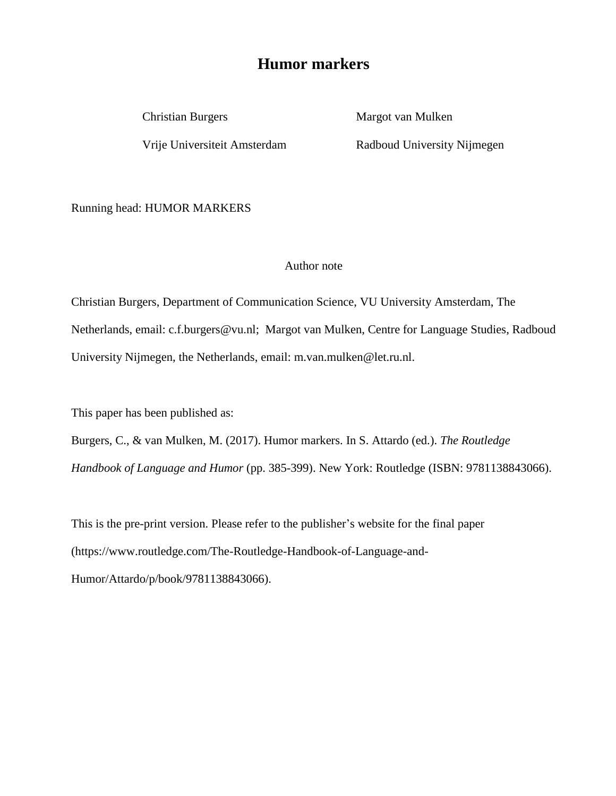# **Humor markers**

Christian Burgers Margot van Mulken

Vrije Universiteit Amsterdam Radboud University Nijmegen

Running head: HUMOR MARKERS

## Author note

Christian Burgers, Department of Communication Science, VU University Amsterdam, The Netherlands, email: c.f.burgers@vu.nl; Margot van Mulken, Centre for Language Studies, Radboud University Nijmegen, the Netherlands, email: m.van.mulken@let.ru.nl.

This paper has been published as:

Burgers, C., & van Mulken, M. (2017). Humor markers. In S. Attardo (ed.). *The Routledge Handbook of Language and Humor* (pp. 385-399). New York: Routledge (ISBN: 9781138843066).

This is the pre-print version. Please refer to the publisher's website for the final paper

(https://www.routledge.com/The-Routledge-Handbook-of-Language-and-

Humor/Attardo/p/book/9781138843066).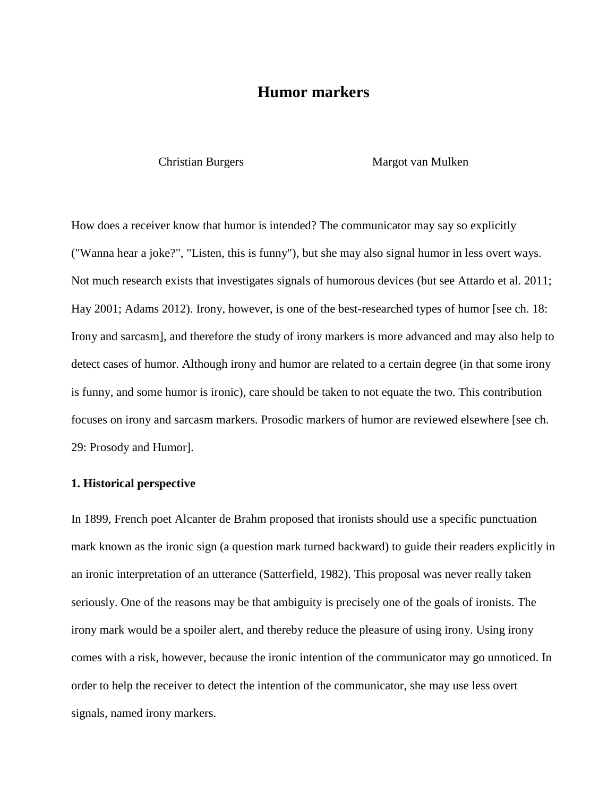## **Humor markers**

Christian Burgers Margot van Mulken

How does a receiver know that humor is intended? The communicator may say so explicitly ("Wanna hear a joke?", "Listen, this is funny"), but she may also signal humor in less overt ways. Not much research exists that investigates signals of humorous devices (but see Attardo et al. 2011; Hay 2001; Adams 2012). Irony, however, is one of the best-researched types of humor [see ch. 18: Irony and sarcasm], and therefore the study of irony markers is more advanced and may also help to detect cases of humor. Although irony and humor are related to a certain degree (in that some irony is funny, and some humor is ironic), care should be taken to not equate the two. This contribution focuses on irony and sarcasm markers. Prosodic markers of humor are reviewed elsewhere [see ch. 29: Prosody and Humor].

#### **1. Historical perspective**

In 1899, French poet Alcanter de Brahm proposed that ironists should use a specific punctuation mark known as the ironic sign (a question mark turned backward) to guide their readers explicitly in an ironic interpretation of an utterance (Satterfield, 1982). This proposal was never really taken seriously. One of the reasons may be that ambiguity is precisely one of the goals of ironists. The irony mark would be a spoiler alert, and thereby reduce the pleasure of using irony. Using irony comes with a risk, however, because the ironic intention of the communicator may go unnoticed. In order to help the receiver to detect the intention of the communicator, she may use less overt signals, named irony markers.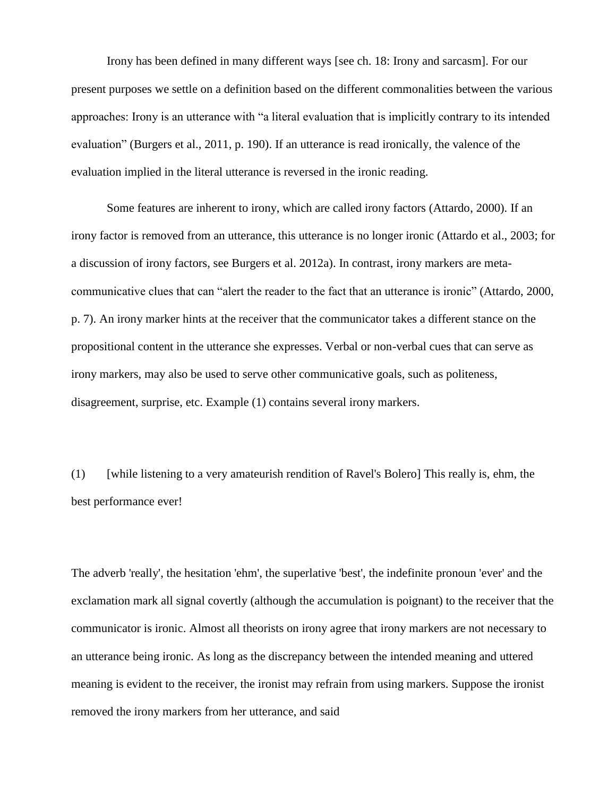Irony has been defined in many different ways [see ch. 18: Irony and sarcasm]. For our present purposes we settle on a definition based on the different commonalities between the various approaches: Irony is an utterance with "a literal evaluation that is implicitly contrary to its intended evaluation" (Burgers et al., 2011, p. 190). If an utterance is read ironically, the valence of the evaluation implied in the literal utterance is reversed in the ironic reading.

Some features are inherent to irony, which are called irony factors (Attardo, 2000). If an irony factor is removed from an utterance, this utterance is no longer ironic (Attardo et al., 2003; for a discussion of irony factors, see Burgers et al. 2012a). In contrast, irony markers are metacommunicative clues that can "alert the reader to the fact that an utterance is ironic" (Attardo, 2000, p. 7). An irony marker hints at the receiver that the communicator takes a different stance on the propositional content in the utterance she expresses. Verbal or non-verbal cues that can serve as irony markers, may also be used to serve other communicative goals, such as politeness, disagreement, surprise, etc. Example (1) contains several irony markers.

(1) [while listening to a very amateurish rendition of Ravel's Bolero] This really is, ehm, the best performance ever!

The adverb 'really', the hesitation 'ehm', the superlative 'best', the indefinite pronoun 'ever' and the exclamation mark all signal covertly (although the accumulation is poignant) to the receiver that the communicator is ironic. Almost all theorists on irony agree that irony markers are not necessary to an utterance being ironic. As long as the discrepancy between the intended meaning and uttered meaning is evident to the receiver, the ironist may refrain from using markers. Suppose the ironist removed the irony markers from her utterance, and said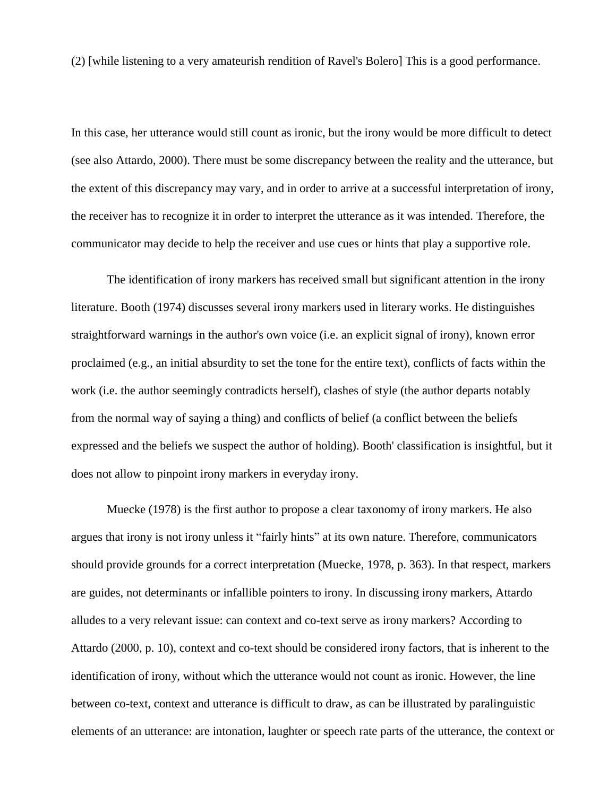(2) [while listening to a very amateurish rendition of Ravel's Bolero] This is a good performance.

In this case, her utterance would still count as ironic, but the irony would be more difficult to detect (see also Attardo, 2000). There must be some discrepancy between the reality and the utterance, but the extent of this discrepancy may vary, and in order to arrive at a successful interpretation of irony, the receiver has to recognize it in order to interpret the utterance as it was intended. Therefore, the communicator may decide to help the receiver and use cues or hints that play a supportive role.

The identification of irony markers has received small but significant attention in the irony literature. Booth (1974) discusses several irony markers used in literary works. He distinguishes straightforward warnings in the author's own voice (i.e. an explicit signal of irony), known error proclaimed (e.g., an initial absurdity to set the tone for the entire text), conflicts of facts within the work (i.e. the author seemingly contradicts herself), clashes of style (the author departs notably from the normal way of saying a thing) and conflicts of belief (a conflict between the beliefs expressed and the beliefs we suspect the author of holding). Booth' classification is insightful, but it does not allow to pinpoint irony markers in everyday irony.

Muecke (1978) is the first author to propose a clear taxonomy of irony markers. He also argues that irony is not irony unless it "fairly hints" at its own nature. Therefore, communicators should provide grounds for a correct interpretation (Muecke, 1978, p. 363). In that respect, markers are guides, not determinants or infallible pointers to irony. In discussing irony markers, Attardo alludes to a very relevant issue: can context and co-text serve as irony markers? According to Attardo (2000, p. 10), context and co-text should be considered irony factors, that is inherent to the identification of irony, without which the utterance would not count as ironic. However, the line between co-text, context and utterance is difficult to draw, as can be illustrated by paralinguistic elements of an utterance: are intonation, laughter or speech rate parts of the utterance, the context or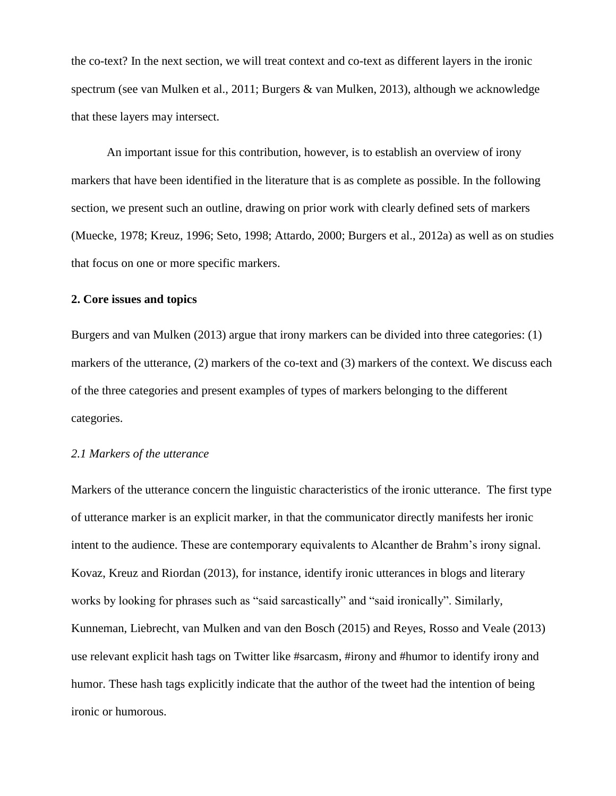the co-text? In the next section, we will treat context and co-text as different layers in the ironic spectrum (see van Mulken et al., 2011; Burgers & van Mulken, 2013), although we acknowledge that these layers may intersect.

An important issue for this contribution, however, is to establish an overview of irony markers that have been identified in the literature that is as complete as possible. In the following section, we present such an outline, drawing on prior work with clearly defined sets of markers (Muecke, 1978; Kreuz, 1996; Seto, 1998; Attardo, 2000; Burgers et al., 2012a) as well as on studies that focus on one or more specific markers.

## **2. Core issues and topics**

Burgers and van Mulken (2013) argue that irony markers can be divided into three categories: (1) markers of the utterance, (2) markers of the co-text and (3) markers of the context. We discuss each of the three categories and present examples of types of markers belonging to the different categories.

#### *2.1 Markers of the utterance*

Markers of the utterance concern the linguistic characteristics of the ironic utterance. The first type of utterance marker is an explicit marker, in that the communicator directly manifests her ironic intent to the audience. These are contemporary equivalents to Alcanther de Brahm's irony signal. Kovaz, Kreuz and Riordan (2013), for instance, identify ironic utterances in blogs and literary works by looking for phrases such as "said sarcastically" and "said ironically". Similarly, Kunneman, Liebrecht, van Mulken and van den Bosch (2015) and Reyes, Rosso and Veale (2013) use relevant explicit hash tags on Twitter like #sarcasm, #irony and #humor to identify irony and humor. These hash tags explicitly indicate that the author of the tweet had the intention of being ironic or humorous.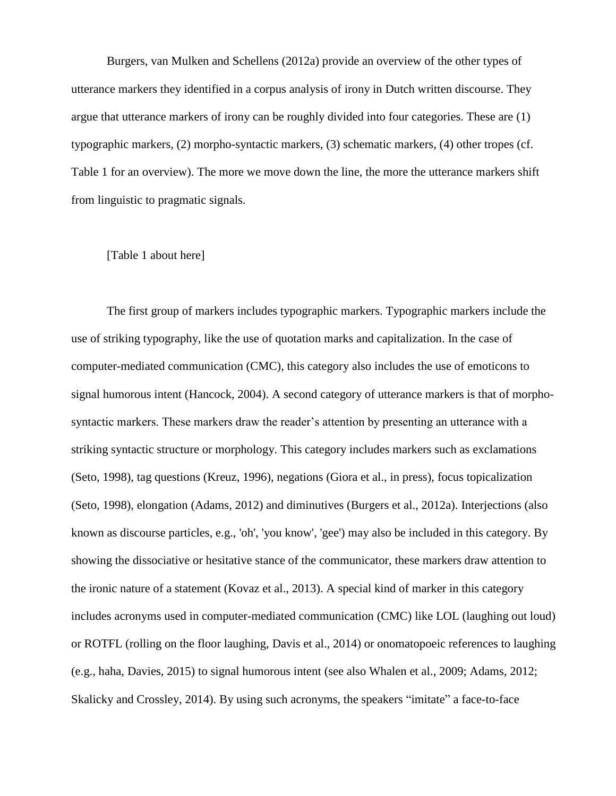Burgers, van Mulken and Schellens (2012a) provide an overview of the other types of utterance markers they identified in a corpus analysis of irony in Dutch written discourse. They argue that utterance markers of irony can be roughly divided into four categories. These are (1) typographic markers, (2) morpho-syntactic markers, (3) schematic markers, (4) other tropes (cf. Table 1 for an overview). The more we move down the line, the more the utterance markers shift from linguistic to pragmatic signals.

### [Table 1 about here]

The first group of markers includes typographic markers. Typographic markers include the use of striking typography, like the use of quotation marks and capitalization. In the case of computer-mediated communication (CMC), this category also includes the use of emoticons to signal humorous intent (Hancock, 2004). A second category of utterance markers is that of morphosyntactic markers. These markers draw the reader's attention by presenting an utterance with a striking syntactic structure or morphology. This category includes markers such as exclamations (Seto, 1998), tag questions (Kreuz, 1996), negations (Giora et al., in press), focus topicalization (Seto, 1998), elongation (Adams, 2012) and diminutives (Burgers et al., 2012a). Interjections (also known as discourse particles, e.g., 'oh', 'you know', 'gee') may also be included in this category. By showing the dissociative or hesitative stance of the communicator, these markers draw attention to the ironic nature of a statement (Kovaz et al., 2013). A special kind of marker in this category includes acronyms used in computer-mediated communication (CMC) like LOL (laughing out loud) or ROTFL (rolling on the floor laughing, Davis et al., 2014) or onomatopoeic references to laughing (e.g., haha, Davies, 2015) to signal humorous intent (see also Whalen et al., 2009; Adams, 2012; Skalicky and Crossley, 2014). By using such acronyms, the speakers "imitate" a face-to-face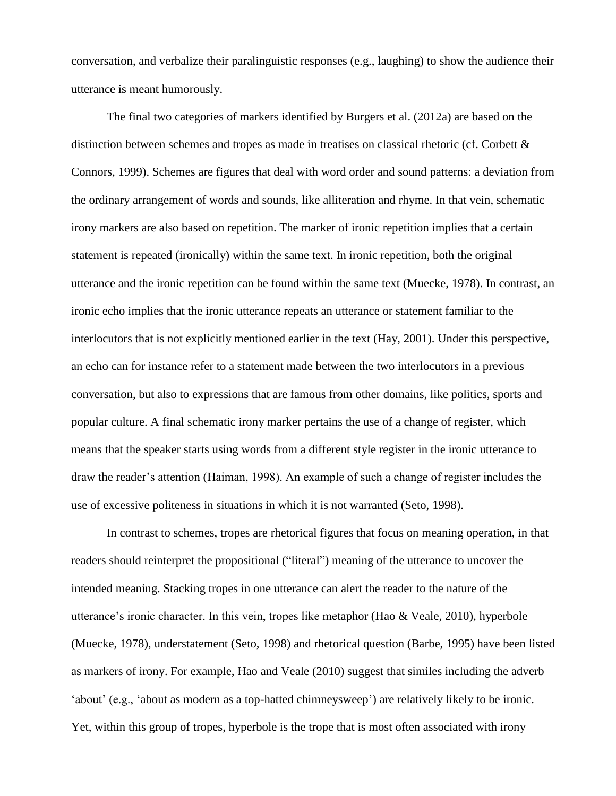conversation, and verbalize their paralinguistic responses (e.g., laughing) to show the audience their utterance is meant humorously.

The final two categories of markers identified by Burgers et al. (2012a) are based on the distinction between schemes and tropes as made in treatises on classical rhetoric (cf. Corbett & Connors, 1999). Schemes are figures that deal with word order and sound patterns: a deviation from the ordinary arrangement of words and sounds, like alliteration and rhyme. In that vein, schematic irony markers are also based on repetition. The marker of ironic repetition implies that a certain statement is repeated (ironically) within the same text. In ironic repetition, both the original utterance and the ironic repetition can be found within the same text (Muecke, 1978). In contrast, an ironic echo implies that the ironic utterance repeats an utterance or statement familiar to the interlocutors that is not explicitly mentioned earlier in the text (Hay, 2001). Under this perspective, an echo can for instance refer to a statement made between the two interlocutors in a previous conversation, but also to expressions that are famous from other domains, like politics, sports and popular culture. A final schematic irony marker pertains the use of a change of register, which means that the speaker starts using words from a different style register in the ironic utterance to draw the reader's attention (Haiman, 1998). An example of such a change of register includes the use of excessive politeness in situations in which it is not warranted (Seto, 1998).

In contrast to schemes, tropes are rhetorical figures that focus on meaning operation, in that readers should reinterpret the propositional ("literal") meaning of the utterance to uncover the intended meaning. Stacking tropes in one utterance can alert the reader to the nature of the utterance's ironic character. In this vein, tropes like metaphor (Hao & Veale, 2010), hyperbole (Muecke, 1978), understatement (Seto, 1998) and rhetorical question (Barbe, 1995) have been listed as markers of irony. For example, Hao and Veale (2010) suggest that similes including the adverb 'about' (e.g., 'about as modern as a top-hatted chimneysweep') are relatively likely to be ironic. Yet, within this group of tropes, hyperbole is the trope that is most often associated with irony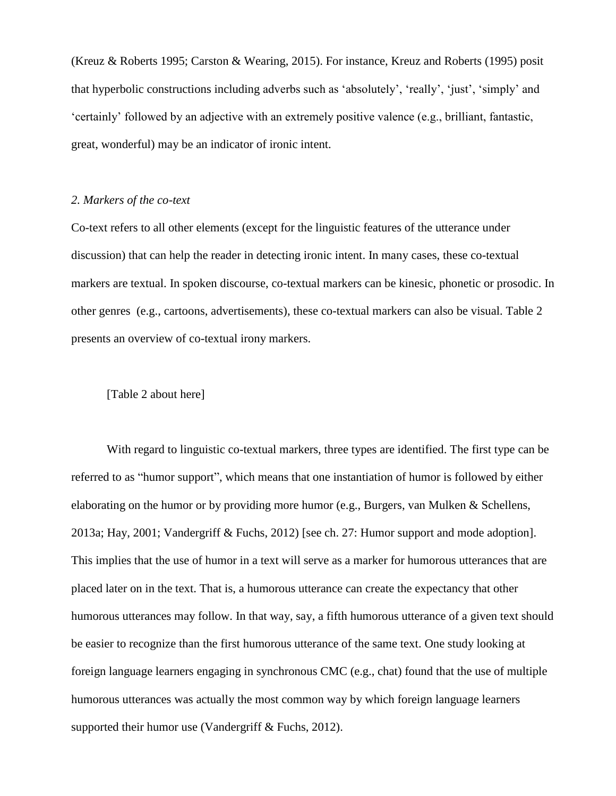(Kreuz & Roberts 1995; Carston & Wearing, 2015). For instance, Kreuz and Roberts (1995) posit that hyperbolic constructions including adverbs such as 'absolutely', 'really', 'just', 'simply' and 'certainly' followed by an adjective with an extremely positive valence (e.g., brilliant, fantastic, great, wonderful) may be an indicator of ironic intent.

#### *2. Markers of the co-text*

Co-text refers to all other elements (except for the linguistic features of the utterance under discussion) that can help the reader in detecting ironic intent. In many cases, these co-textual markers are textual. In spoken discourse, co-textual markers can be kinesic, phonetic or prosodic. In other genres (e.g., cartoons, advertisements), these co-textual markers can also be visual. Table 2 presents an overview of co-textual irony markers.

#### [Table 2 about here]

With regard to linguistic co-textual markers, three types are identified. The first type can be referred to as "humor support", which means that one instantiation of humor is followed by either elaborating on the humor or by providing more humor (e.g., Burgers, van Mulken & Schellens, 2013a; Hay, 2001; Vandergriff & Fuchs, 2012) [see ch. 27: Humor support and mode adoption]. This implies that the use of humor in a text will serve as a marker for humorous utterances that are placed later on in the text. That is, a humorous utterance can create the expectancy that other humorous utterances may follow. In that way, say, a fifth humorous utterance of a given text should be easier to recognize than the first humorous utterance of the same text. One study looking at foreign language learners engaging in synchronous CMC (e.g., chat) found that the use of multiple humorous utterances was actually the most common way by which foreign language learners supported their humor use (Vandergriff & Fuchs, 2012).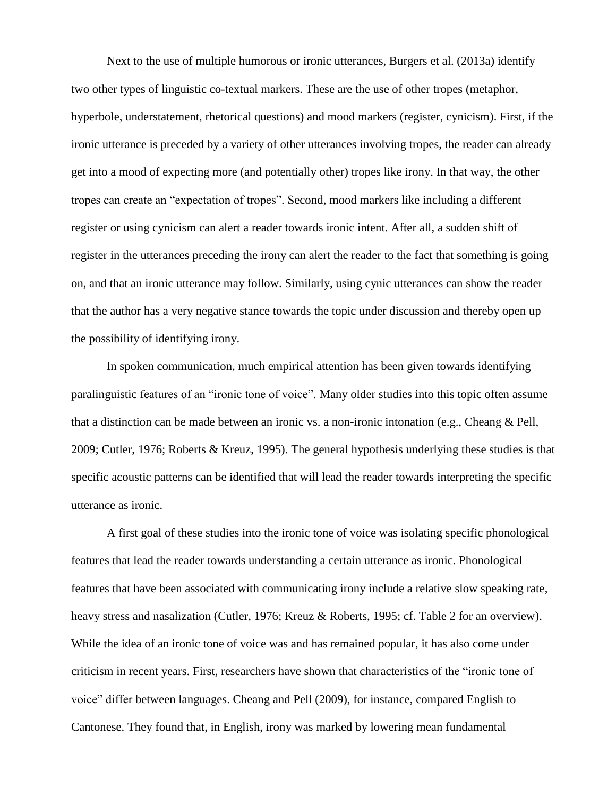Next to the use of multiple humorous or ironic utterances, Burgers et al. (2013a) identify two other types of linguistic co-textual markers. These are the use of other tropes (metaphor, hyperbole, understatement, rhetorical questions) and mood markers (register, cynicism). First, if the ironic utterance is preceded by a variety of other utterances involving tropes, the reader can already get into a mood of expecting more (and potentially other) tropes like irony. In that way, the other tropes can create an "expectation of tropes". Second, mood markers like including a different register or using cynicism can alert a reader towards ironic intent. After all, a sudden shift of register in the utterances preceding the irony can alert the reader to the fact that something is going on, and that an ironic utterance may follow. Similarly, using cynic utterances can show the reader that the author has a very negative stance towards the topic under discussion and thereby open up the possibility of identifying irony.

In spoken communication, much empirical attention has been given towards identifying paralinguistic features of an "ironic tone of voice". Many older studies into this topic often assume that a distinction can be made between an ironic vs. a non-ironic intonation (e.g., Cheang & Pell, 2009; Cutler, 1976; Roberts & Kreuz, 1995). The general hypothesis underlying these studies is that specific acoustic patterns can be identified that will lead the reader towards interpreting the specific utterance as ironic.

A first goal of these studies into the ironic tone of voice was isolating specific phonological features that lead the reader towards understanding a certain utterance as ironic. Phonological features that have been associated with communicating irony include a relative slow speaking rate, heavy stress and nasalization (Cutler, 1976; Kreuz & Roberts, 1995; cf. Table 2 for an overview). While the idea of an ironic tone of voice was and has remained popular, it has also come under criticism in recent years. First, researchers have shown that characteristics of the "ironic tone of voice" differ between languages. Cheang and Pell (2009), for instance, compared English to Cantonese. They found that, in English, irony was marked by lowering mean fundamental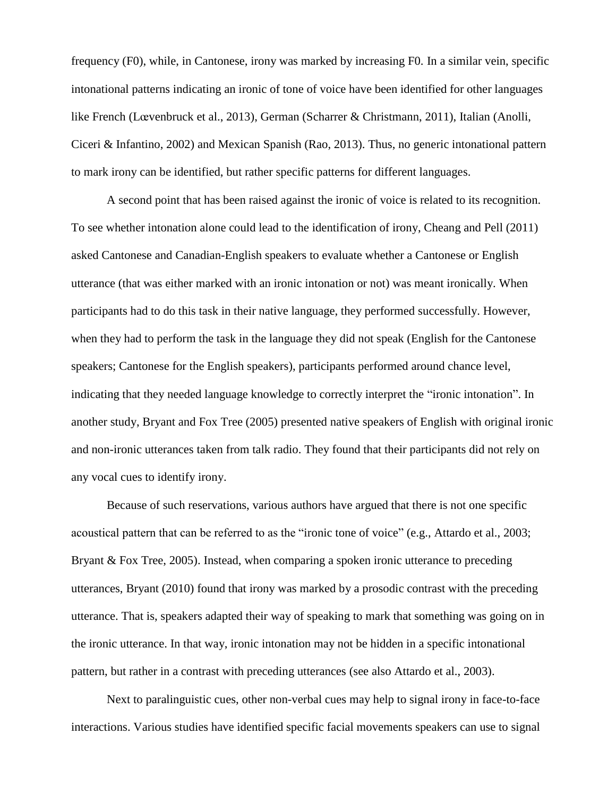frequency (F0), while, in Cantonese, irony was marked by increasing F0. In a similar vein, specific intonational patterns indicating an ironic of tone of voice have been identified for other languages like French (Lœvenbruck et al., 2013), German (Scharrer & Christmann, 2011), Italian (Anolli, Ciceri & Infantino, 2002) and Mexican Spanish (Rao, 2013). Thus, no generic intonational pattern to mark irony can be identified, but rather specific patterns for different languages.

A second point that has been raised against the ironic of voice is related to its recognition. To see whether intonation alone could lead to the identification of irony, Cheang and Pell (2011) asked Cantonese and Canadian-English speakers to evaluate whether a Cantonese or English utterance (that was either marked with an ironic intonation or not) was meant ironically. When participants had to do this task in their native language, they performed successfully. However, when they had to perform the task in the language they did not speak (English for the Cantonese speakers; Cantonese for the English speakers), participants performed around chance level, indicating that they needed language knowledge to correctly interpret the "ironic intonation". In another study, Bryant and Fox Tree (2005) presented native speakers of English with original ironic and non-ironic utterances taken from talk radio. They found that their participants did not rely on any vocal cues to identify irony.

Because of such reservations, various authors have argued that there is not one specific acoustical pattern that can be referred to as the "ironic tone of voice" (e.g., Attardo et al., 2003; Bryant & Fox Tree, 2005). Instead, when comparing a spoken ironic utterance to preceding utterances, Bryant (2010) found that irony was marked by a prosodic contrast with the preceding utterance. That is, speakers adapted their way of speaking to mark that something was going on in the ironic utterance. In that way, ironic intonation may not be hidden in a specific intonational pattern, but rather in a contrast with preceding utterances (see also Attardo et al., 2003).

Next to paralinguistic cues, other non-verbal cues may help to signal irony in face-to-face interactions. Various studies have identified specific facial movements speakers can use to signal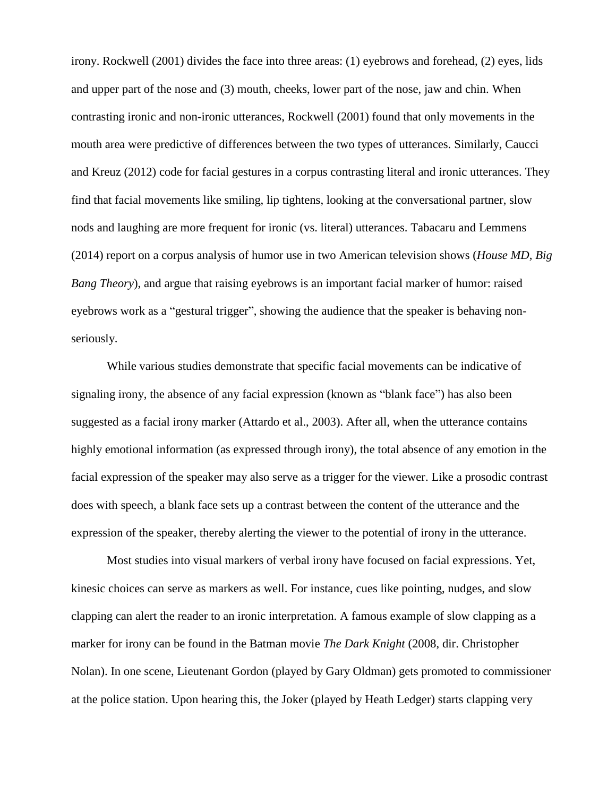irony. Rockwell (2001) divides the face into three areas: (1) eyebrows and forehead, (2) eyes, lids and upper part of the nose and (3) mouth, cheeks, lower part of the nose, jaw and chin. When contrasting ironic and non-ironic utterances, Rockwell (2001) found that only movements in the mouth area were predictive of differences between the two types of utterances. Similarly, Caucci and Kreuz (2012) code for facial gestures in a corpus contrasting literal and ironic utterances. They find that facial movements like smiling, lip tightens, looking at the conversational partner, slow nods and laughing are more frequent for ironic (vs. literal) utterances. Tabacaru and Lemmens (2014) report on a corpus analysis of humor use in two American television shows (*House MD, Big Bang Theory*), and argue that raising eyebrows is an important facial marker of humor: raised eyebrows work as a "gestural trigger", showing the audience that the speaker is behaving nonseriously.

While various studies demonstrate that specific facial movements can be indicative of signaling irony, the absence of any facial expression (known as "blank face") has also been suggested as a facial irony marker (Attardo et al., 2003). After all, when the utterance contains highly emotional information (as expressed through irony), the total absence of any emotion in the facial expression of the speaker may also serve as a trigger for the viewer. Like a prosodic contrast does with speech, a blank face sets up a contrast between the content of the utterance and the expression of the speaker, thereby alerting the viewer to the potential of irony in the utterance.

Most studies into visual markers of verbal irony have focused on facial expressions. Yet, kinesic choices can serve as markers as well. For instance, cues like pointing, nudges, and slow clapping can alert the reader to an ironic interpretation. A famous example of slow clapping as a marker for irony can be found in the Batman movie *The Dark Knight* (2008, dir. Christopher Nolan). In one scene, Lieutenant Gordon (played by Gary Oldman) gets promoted to commissioner at the police station. Upon hearing this, the Joker (played by Heath Ledger) starts clapping very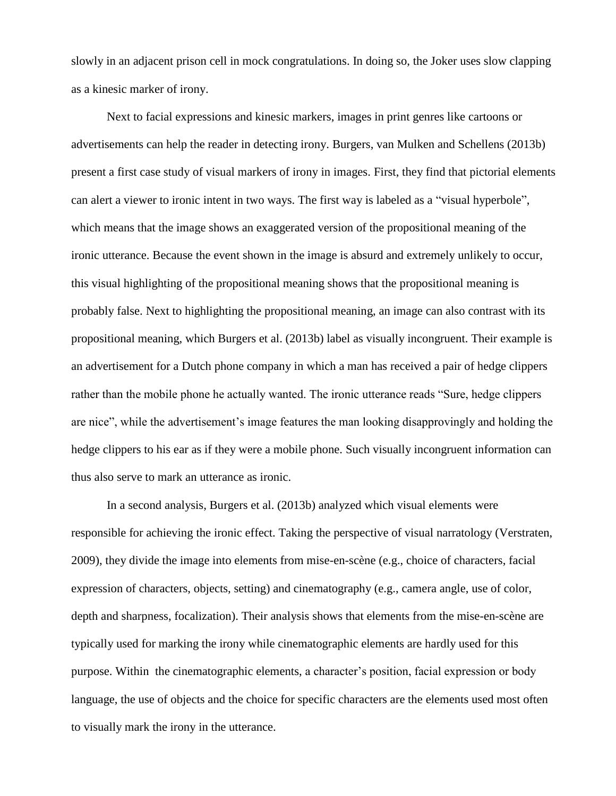slowly in an adjacent prison cell in mock congratulations. In doing so, the Joker uses slow clapping as a kinesic marker of irony.

Next to facial expressions and kinesic markers, images in print genres like cartoons or advertisements can help the reader in detecting irony. Burgers, van Mulken and Schellens (2013b) present a first case study of visual markers of irony in images. First, they find that pictorial elements can alert a viewer to ironic intent in two ways. The first way is labeled as a "visual hyperbole", which means that the image shows an exaggerated version of the propositional meaning of the ironic utterance. Because the event shown in the image is absurd and extremely unlikely to occur, this visual highlighting of the propositional meaning shows that the propositional meaning is probably false. Next to highlighting the propositional meaning, an image can also contrast with its propositional meaning, which Burgers et al. (2013b) label as visually incongruent. Their example is an advertisement for a Dutch phone company in which a man has received a pair of hedge clippers rather than the mobile phone he actually wanted. The ironic utterance reads "Sure, hedge clippers are nice", while the advertisement's image features the man looking disapprovingly and holding the hedge clippers to his ear as if they were a mobile phone. Such visually incongruent information can thus also serve to mark an utterance as ironic.

In a second analysis, Burgers et al. (2013b) analyzed which visual elements were responsible for achieving the ironic effect. Taking the perspective of visual narratology (Verstraten, 2009), they divide the image into elements from mise-en-scène (e.g., choice of characters, facial expression of characters, objects, setting) and cinematography (e.g., camera angle, use of color, depth and sharpness, focalization). Their analysis shows that elements from the mise-en-scène are typically used for marking the irony while cinematographic elements are hardly used for this purpose. Within the cinematographic elements, a character's position, facial expression or body language, the use of objects and the choice for specific characters are the elements used most often to visually mark the irony in the utterance.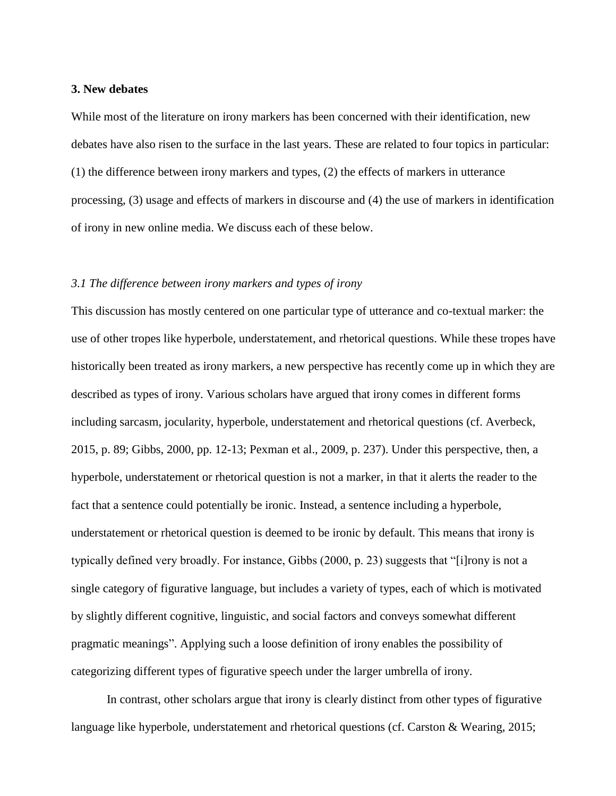#### **3. New debates**

While most of the literature on irony markers has been concerned with their identification, new debates have also risen to the surface in the last years. These are related to four topics in particular: (1) the difference between irony markers and types, (2) the effects of markers in utterance processing, (3) usage and effects of markers in discourse and (4) the use of markers in identification of irony in new online media. We discuss each of these below.

#### *3.1 The difference between irony markers and types of irony*

This discussion has mostly centered on one particular type of utterance and co-textual marker: the use of other tropes like hyperbole, understatement, and rhetorical questions. While these tropes have historically been treated as irony markers, a new perspective has recently come up in which they are described as types of irony. Various scholars have argued that irony comes in different forms including sarcasm, jocularity, hyperbole, understatement and rhetorical questions (cf. Averbeck, 2015, p. 89; Gibbs, 2000, pp. 12-13; Pexman et al., 2009, p. 237). Under this perspective, then, a hyperbole, understatement or rhetorical question is not a marker, in that it alerts the reader to the fact that a sentence could potentially be ironic. Instead, a sentence including a hyperbole, understatement or rhetorical question is deemed to be ironic by default. This means that irony is typically defined very broadly. For instance, Gibbs (2000, p. 23) suggests that "[i]rony is not a single category of figurative language, but includes a variety of types, each of which is motivated by slightly different cognitive, linguistic, and social factors and conveys somewhat different pragmatic meanings". Applying such a loose definition of irony enables the possibility of categorizing different types of figurative speech under the larger umbrella of irony.

In contrast, other scholars argue that irony is clearly distinct from other types of figurative language like hyperbole, understatement and rhetorical questions (cf. Carston & Wearing, 2015;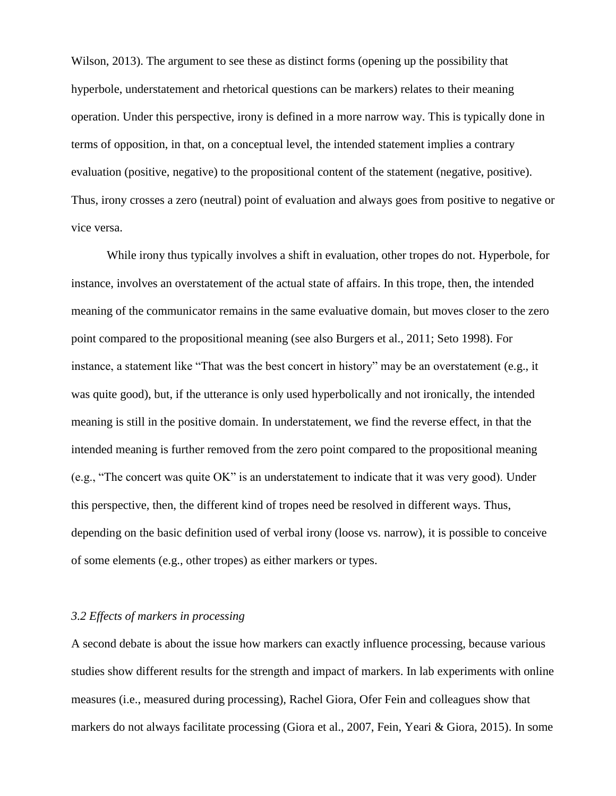Wilson, 2013). The argument to see these as distinct forms (opening up the possibility that hyperbole, understatement and rhetorical questions can be markers) relates to their meaning operation. Under this perspective, irony is defined in a more narrow way. This is typically done in terms of opposition, in that, on a conceptual level, the intended statement implies a contrary evaluation (positive, negative) to the propositional content of the statement (negative, positive). Thus, irony crosses a zero (neutral) point of evaluation and always goes from positive to negative or vice versa.

While irony thus typically involves a shift in evaluation, other tropes do not. Hyperbole, for instance, involves an overstatement of the actual state of affairs. In this trope, then, the intended meaning of the communicator remains in the same evaluative domain, but moves closer to the zero point compared to the propositional meaning (see also Burgers et al., 2011; Seto 1998). For instance, a statement like "That was the best concert in history" may be an overstatement (e.g., it was quite good), but, if the utterance is only used hyperbolically and not ironically, the intended meaning is still in the positive domain. In understatement, we find the reverse effect, in that the intended meaning is further removed from the zero point compared to the propositional meaning (e.g., "The concert was quite OK" is an understatement to indicate that it was very good). Under this perspective, then, the different kind of tropes need be resolved in different ways. Thus, depending on the basic definition used of verbal irony (loose vs. narrow), it is possible to conceive of some elements (e.g., other tropes) as either markers or types.

#### *3.2 Effects of markers in processing*

A second debate is about the issue how markers can exactly influence processing, because various studies show different results for the strength and impact of markers. In lab experiments with online measures (i.e., measured during processing), Rachel Giora, Ofer Fein and colleagues show that markers do not always facilitate processing (Giora et al., 2007, Fein, Yeari & Giora, 2015). In some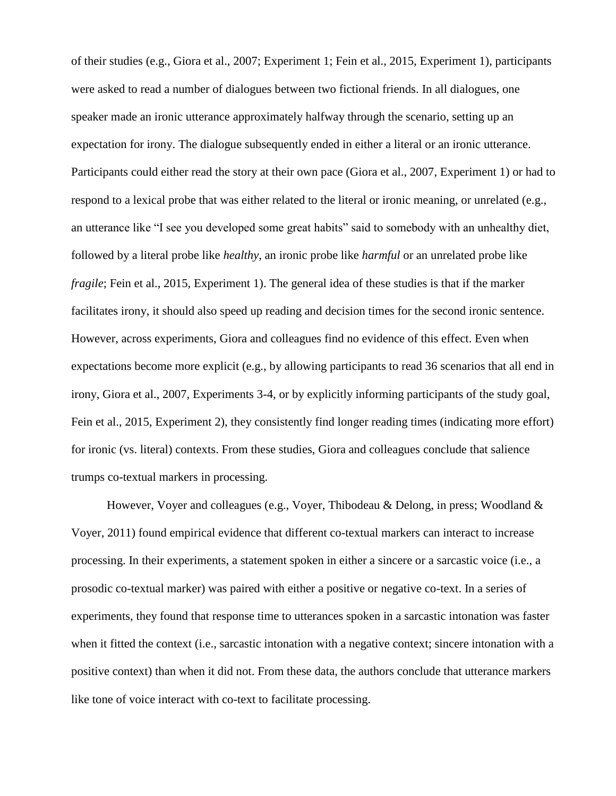of their studies (e.g., Giora et al., 2007; Experiment 1; Fein et al., 2015, Experiment 1), participants were asked to read a number of dialogues between two fictional friends. In all dialogues, one speaker made an ironic utterance approximately halfway through the scenario, setting up an expectation for irony. The dialogue subsequently ended in either a literal or an ironic utterance. Participants could either read the story at their own pace (Giora et al., 2007, Experiment 1) or had to respond to a lexical probe that was either related to the literal or ironic meaning, or unrelated (e.g., an utterance like "I see you developed some great habits" said to somebody with an unhealthy diet, followed by a literal probe like *healthy*, an ironic probe like *harmful* or an unrelated probe like *fragile*; Fein et al., 2015, Experiment 1). The general idea of these studies is that if the marker facilitates irony, it should also speed up reading and decision times for the second ironic sentence. However, across experiments, Giora and colleagues find no evidence of this effect. Even when expectations become more explicit (e.g., by allowing participants to read 36 scenarios that all end in irony, Giora et al., 2007, Experiments 3-4, or by explicitly informing participants of the study goal, Fein et al., 2015, Experiment 2), they consistently find longer reading times (indicating more effort) for ironic (vs. literal) contexts. From these studies, Giora and colleagues conclude that salience trumps co-textual markers in processing.

However, Voyer and colleagues (e.g., Voyer, Thibodeau & Delong, in press; Woodland & Voyer, 2011) found empirical evidence that different co-textual markers can interact to increase processing. In their experiments, a statement spoken in either a sincere or a sarcastic voice (i.e., a prosodic co-textual marker) was paired with either a positive or negative co-text. In a series of experiments, they found that response time to utterances spoken in a sarcastic intonation was faster when it fitted the context (i.e., sarcastic intonation with a negative context; sincere intonation with a positive context) than when it did not. From these data, the authors conclude that utterance markers like tone of voice interact with co-text to facilitate processing.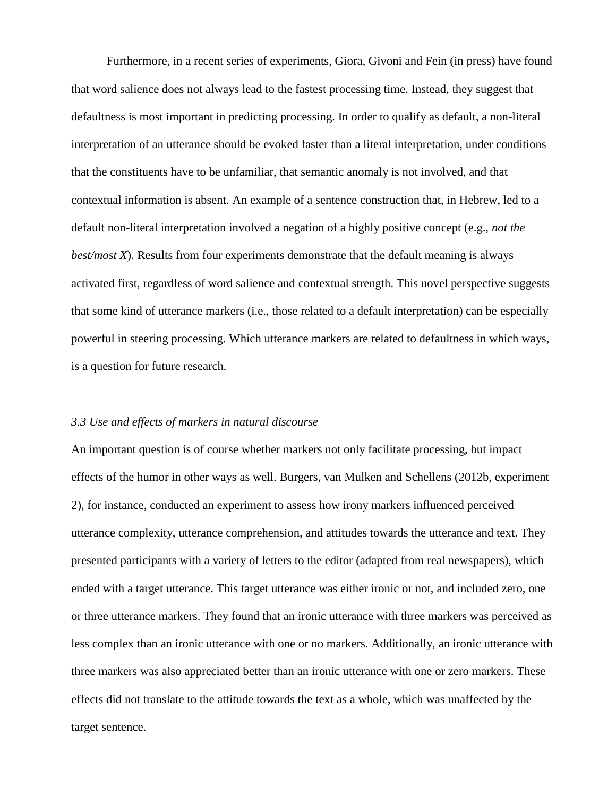Furthermore, in a recent series of experiments, Giora, Givoni and Fein (in press) have found that word salience does not always lead to the fastest processing time. Instead, they suggest that defaultness is most important in predicting processing. In order to qualify as default, a non-literal interpretation of an utterance should be evoked faster than a literal interpretation, under conditions that the constituents have to be unfamiliar, that semantic anomaly is not involved, and that contextual information is absent. An example of a sentence construction that, in Hebrew, led to a default non-literal interpretation involved a negation of a highly positive concept (e.g., *not the best/most X*). Results from four experiments demonstrate that the default meaning is always activated first, regardless of word salience and contextual strength. This novel perspective suggests that some kind of utterance markers (i.e., those related to a default interpretation) can be especially powerful in steering processing. Which utterance markers are related to defaultness in which ways, is a question for future research.

#### *3.3 Use and effects of markers in natural discourse*

An important question is of course whether markers not only facilitate processing, but impact effects of the humor in other ways as well. Burgers, van Mulken and Schellens (2012b, experiment 2), for instance, conducted an experiment to assess how irony markers influenced perceived utterance complexity, utterance comprehension, and attitudes towards the utterance and text. They presented participants with a variety of letters to the editor (adapted from real newspapers), which ended with a target utterance. This target utterance was either ironic or not, and included zero, one or three utterance markers. They found that an ironic utterance with three markers was perceived as less complex than an ironic utterance with one or no markers. Additionally, an ironic utterance with three markers was also appreciated better than an ironic utterance with one or zero markers. These effects did not translate to the attitude towards the text as a whole, which was unaffected by the target sentence.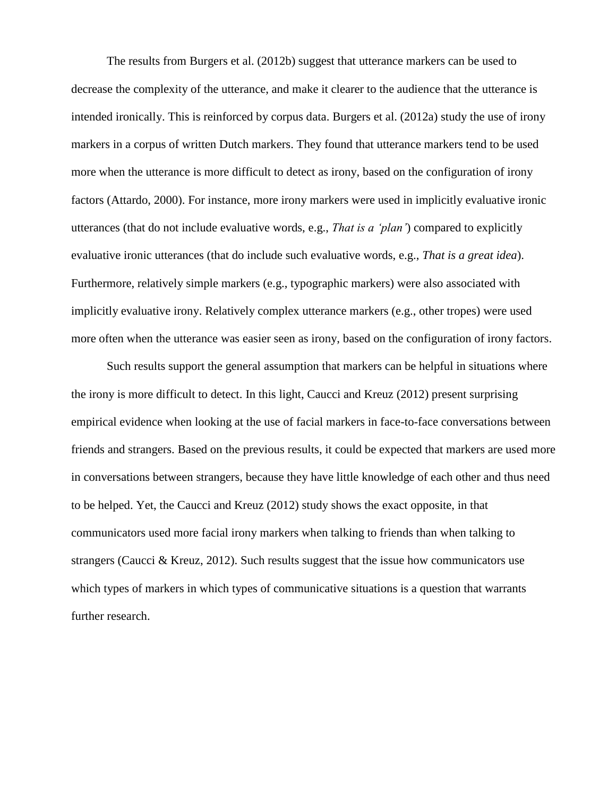The results from Burgers et al. (2012b) suggest that utterance markers can be used to decrease the complexity of the utterance, and make it clearer to the audience that the utterance is intended ironically. This is reinforced by corpus data. Burgers et al. (2012a) study the use of irony markers in a corpus of written Dutch markers. They found that utterance markers tend to be used more when the utterance is more difficult to detect as irony, based on the configuration of irony factors (Attardo, 2000). For instance, more irony markers were used in implicitly evaluative ironic utterances (that do not include evaluative words, e.g., *That is a 'plan'*) compared to explicitly evaluative ironic utterances (that do include such evaluative words, e.g., *That is a great idea*). Furthermore, relatively simple markers (e.g., typographic markers) were also associated with implicitly evaluative irony. Relatively complex utterance markers (e.g., other tropes) were used more often when the utterance was easier seen as irony, based on the configuration of irony factors.

Such results support the general assumption that markers can be helpful in situations where the irony is more difficult to detect. In this light, Caucci and Kreuz (2012) present surprising empirical evidence when looking at the use of facial markers in face-to-face conversations between friends and strangers. Based on the previous results, it could be expected that markers are used more in conversations between strangers, because they have little knowledge of each other and thus need to be helped. Yet, the Caucci and Kreuz (2012) study shows the exact opposite, in that communicators used more facial irony markers when talking to friends than when talking to strangers (Caucci & Kreuz, 2012). Such results suggest that the issue how communicators use which types of markers in which types of communicative situations is a question that warrants further research.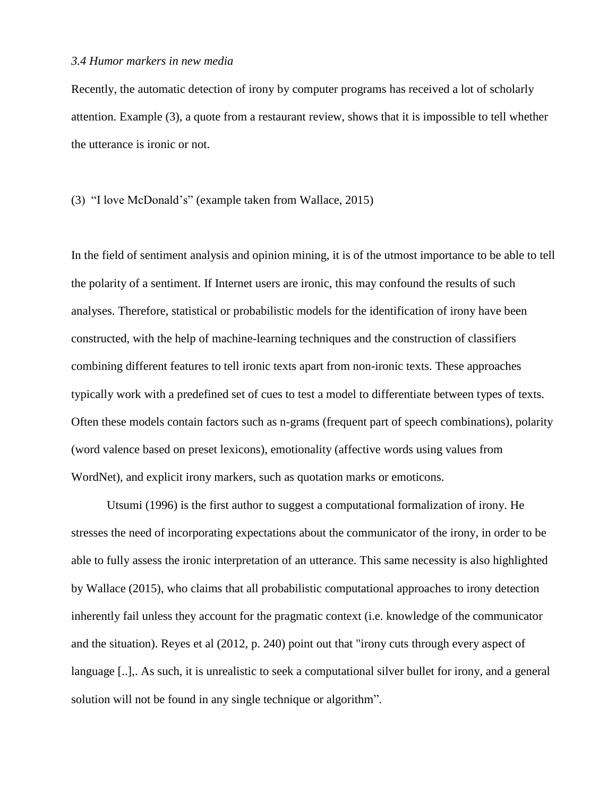#### *3.4 Humor markers in new media*

Recently, the automatic detection of irony by computer programs has received a lot of scholarly attention. Example (3), a quote from a restaurant review, shows that it is impossible to tell whether the utterance is ironic or not.

(3) "I love McDonald's" (example taken from Wallace, 2015)

In the field of sentiment analysis and opinion mining, it is of the utmost importance to be able to tell the polarity of a sentiment. If Internet users are ironic, this may confound the results of such analyses. Therefore, statistical or probabilistic models for the identification of irony have been constructed, with the help of machine-learning techniques and the construction of classifiers combining different features to tell ironic texts apart from non-ironic texts. These approaches typically work with a predefined set of cues to test a model to differentiate between types of texts. Often these models contain factors such as n-grams (frequent part of speech combinations), polarity (word valence based on preset lexicons), emotionality (affective words using values from WordNet), and explicit irony markers, such as quotation marks or emoticons.

Utsumi (1996) is the first author to suggest a computational formalization of irony. He stresses the need of incorporating expectations about the communicator of the irony, in order to be able to fully assess the ironic interpretation of an utterance. This same necessity is also highlighted by Wallace (2015), who claims that all probabilistic computational approaches to irony detection inherently fail unless they account for the pragmatic context (i.e. knowledge of the communicator and the situation). Reyes et al (2012, p. 240) point out that "irony cuts through every aspect of language [..],. As such, it is unrealistic to seek a computational silver bullet for irony, and a general solution will not be found in any single technique or algorithm".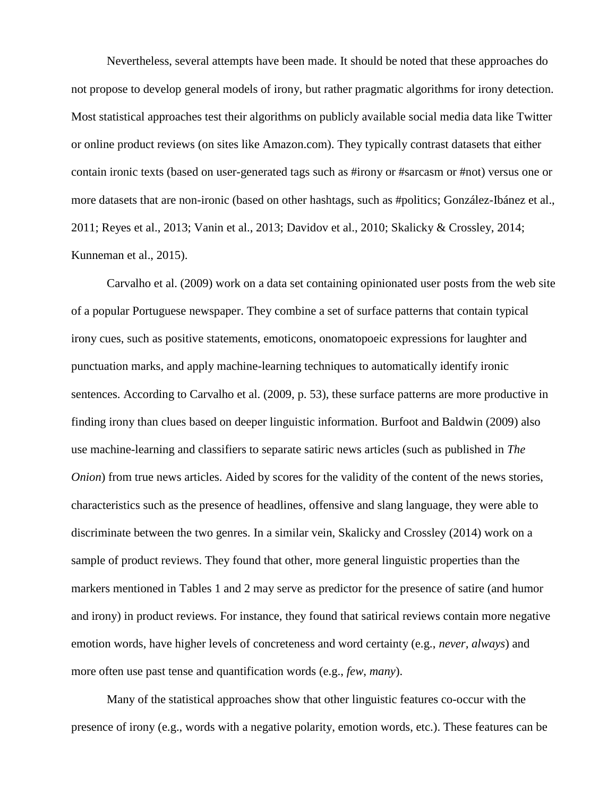Nevertheless, several attempts have been made. It should be noted that these approaches do not propose to develop general models of irony, but rather pragmatic algorithms for irony detection. Most statistical approaches test their algorithms on publicly available social media data like Twitter or online product reviews (on sites like Amazon.com). They typically contrast datasets that either contain ironic texts (based on user-generated tags such as #irony or #sarcasm or #not) versus one or more datasets that are non-ironic (based on other hashtags, such as #politics; González-Ibánez et al., 2011; Reyes et al., 2013; Vanin et al., 2013; Davidov et al., 2010; Skalicky & Crossley, 2014; Kunneman et al., 2015).

Carvalho et al. (2009) work on a data set containing opinionated user posts from the web site of a popular Portuguese newspaper. They combine a set of surface patterns that contain typical irony cues, such as positive statements, emoticons, onomatopoeic expressions for laughter and punctuation marks, and apply machine-learning techniques to automatically identify ironic sentences. According to Carvalho et al. (2009, p. 53), these surface patterns are more productive in finding irony than clues based on deeper linguistic information. Burfoot and Baldwin (2009) also use machine-learning and classifiers to separate satiric news articles (such as published in *The Onion*) from true news articles. Aided by scores for the validity of the content of the news stories, characteristics such as the presence of headlines, offensive and slang language, they were able to discriminate between the two genres. In a similar vein, Skalicky and Crossley (2014) work on a sample of product reviews. They found that other, more general linguistic properties than the markers mentioned in Tables 1 and 2 may serve as predictor for the presence of satire (and humor and irony) in product reviews. For instance, they found that satirical reviews contain more negative emotion words, have higher levels of concreteness and word certainty (e.g., *never, always*) and more often use past tense and quantification words (e.g., *few*, *many*).

Many of the statistical approaches show that other linguistic features co-occur with the presence of irony (e.g., words with a negative polarity, emotion words, etc.). These features can be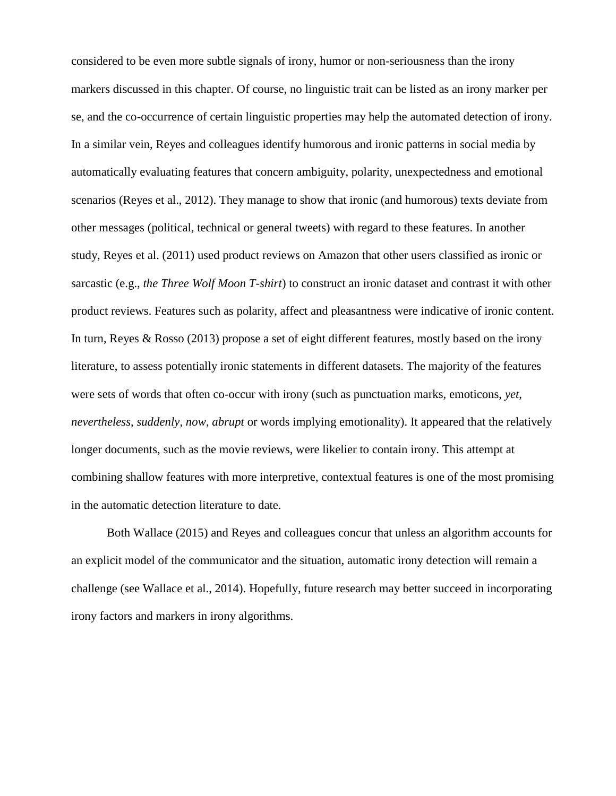considered to be even more subtle signals of irony, humor or non-seriousness than the irony markers discussed in this chapter. Of course, no linguistic trait can be listed as an irony marker per se, and the co-occurrence of certain linguistic properties may help the automated detection of irony. In a similar vein, Reyes and colleagues identify humorous and ironic patterns in social media by automatically evaluating features that concern ambiguity, polarity, unexpectedness and emotional scenarios (Reyes et al., 2012). They manage to show that ironic (and humorous) texts deviate from other messages (political, technical or general tweets) with regard to these features. In another study, Reyes et al. (2011) used product reviews on Amazon that other users classified as ironic or sarcastic (e.g., *the Three Wolf Moon T-shirt*) to construct an ironic dataset and contrast it with other product reviews. Features such as polarity, affect and pleasantness were indicative of ironic content. In turn, Reyes & Rosso (2013) propose a set of eight different features, mostly based on the irony literature, to assess potentially ironic statements in different datasets. The majority of the features were sets of words that often co-occur with irony (such as punctuation marks, emoticons, *yet*, *nevertheless*, *suddenly*, *now*, *abrupt* or words implying emotionality). It appeared that the relatively longer documents, such as the movie reviews, were likelier to contain irony. This attempt at combining shallow features with more interpretive, contextual features is one of the most promising in the automatic detection literature to date.

Both Wallace (2015) and Reyes and colleagues concur that unless an algorithm accounts for an explicit model of the communicator and the situation, automatic irony detection will remain a challenge (see Wallace et al., 2014). Hopefully, future research may better succeed in incorporating irony factors and markers in irony algorithms.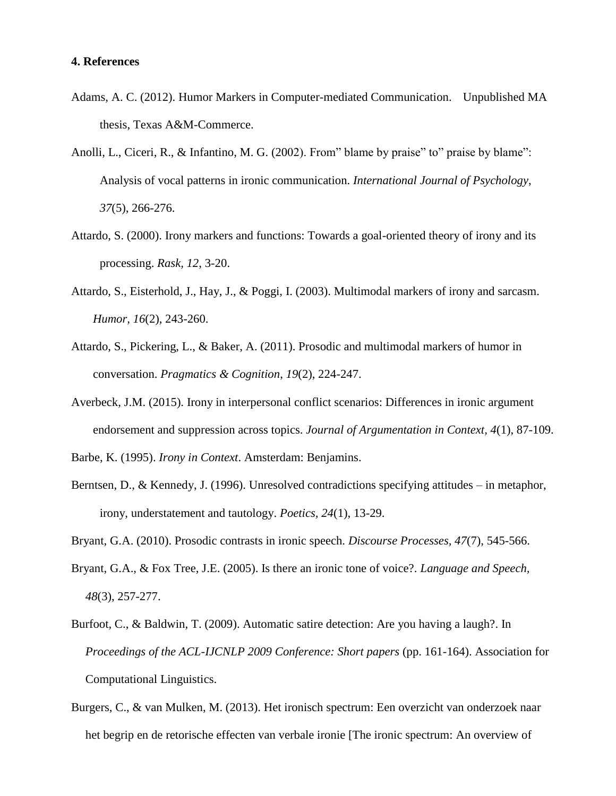- Adams, A. C. (2012). Humor Markers in Computer-mediated Communication. Unpublished MA thesis, Texas A&M-Commerce.
- Anolli, L., Ciceri, R., & Infantino, M. G. (2002). From" blame by praise" to" praise by blame": Analysis of vocal patterns in ironic communication. *International Journal of Psychology*, *37*(5), 266-276.
- Attardo, S. (2000). Irony markers and functions: Towards a goal-oriented theory of irony and its processing. *Rask, 12*, 3-20.
- Attardo, S., Eisterhold, J., Hay, J., & Poggi, I. (2003). Multimodal markers of irony and sarcasm. *Humor, 16*(2), 243-260.
- Attardo, S., Pickering, L., & Baker, A. (2011). Prosodic and multimodal markers of humor in conversation. *Pragmatics & Cognition*, *19*(2), 224-247.
- Averbeck, J.M. (2015). Irony in interpersonal conflict scenarios: Differences in ironic argument endorsement and suppression across topics. *Journal of Argumentation in Context, 4*(1), 87-109.

Barbe, K. (1995). *Irony in Context*. Amsterdam: Benjamins.

- Berntsen, D., & Kennedy, J. (1996). Unresolved contradictions specifying attitudes in metaphor, irony, understatement and tautology. *Poetics, 24*(1), 13-29.
- Bryant, G.A. (2010). Prosodic contrasts in ironic speech. *Discourse Processes, 47*(7), 545-566.
- Bryant, G.A., & Fox Tree, J.E. (2005). Is there an ironic tone of voice?. *Language and Speech, 48*(3), 257-277.
- Burfoot, C., & Baldwin, T. (2009). Automatic satire detection: Are you having a laugh?. In *Proceedings of the ACL-IJCNLP 2009 Conference: Short papers* (pp. 161-164). Association for Computational Linguistics.
- Burgers, C., & van Mulken, M. (2013). Het ironisch spectrum: Een overzicht van onderzoek naar het begrip en de retorische effecten van verbale ironie [The ironic spectrum: An overview of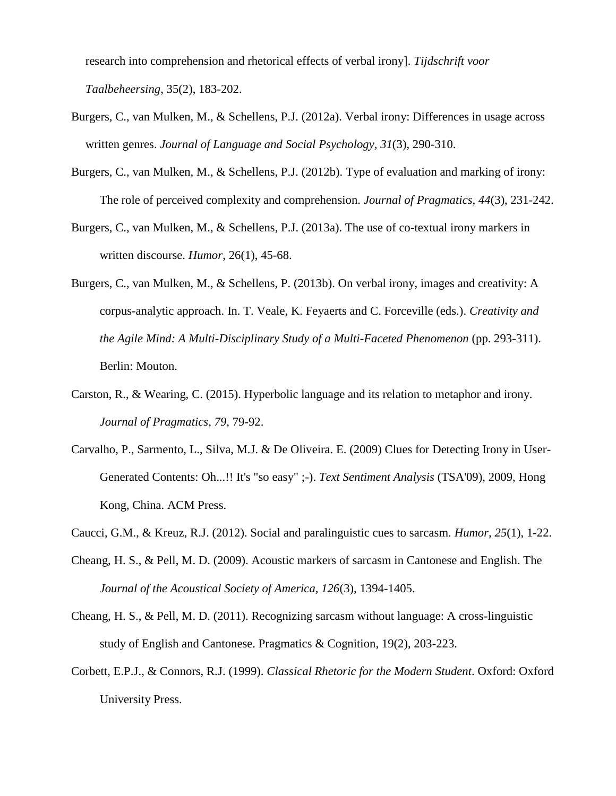research into comprehension and rhetorical effects of verbal irony]. *Tijdschrift voor Taalbeheersing*, 35(2), 183-202.

- Burgers, C., van Mulken, M., & Schellens, P.J. (2012a). Verbal irony: Differences in usage across written genres. *Journal of Language and Social Psychology, 31*(3), 290-310.
- Burgers, C., van Mulken, M., & Schellens, P.J. (2012b). Type of evaluation and marking of irony: The role of perceived complexity and comprehension. *Journal of Pragmatics, 44*(3), 231-242.
- Burgers, C., van Mulken, M., & Schellens, P.J. (2013a). The use of co-textual irony markers in written discourse. *Humor*, 26(1), 45-68.
- Burgers, C., van Mulken, M., & Schellens, P. (2013b). On verbal irony, images and creativity: A corpus-analytic approach. In. T. Veale, K. Feyaerts and C. Forceville (eds.). *Creativity and the Agile Mind: A Multi-Disciplinary Study of a Multi-Faceted Phenomenon* (pp. 293-311). Berlin: Mouton.
- Carston, R., & Wearing, C. (2015). Hyperbolic language and its relation to metaphor and irony. *Journal of Pragmatics, 79*, 79-92.
- Carvalho, P., Sarmento, L., Silva, M.J. & De Oliveira. E. (2009) Clues for Detecting Irony in User-Generated Contents: Oh...!! It's "so easy" ;-). *Text Sentiment Analysis* (TSA'09), 2009, Hong Kong, China. ACM Press.
- Caucci, G.M., & Kreuz, R.J. (2012). Social and paralinguistic cues to sarcasm. *Humor, 25*(1), 1-22.
- Cheang, H. S., & Pell, M. D. (2009). Acoustic markers of sarcasm in Cantonese and English. The *Journal of the Acoustical Society of America, 126*(3), 1394-1405.
- Cheang, H. S., & Pell, M. D. (2011). Recognizing sarcasm without language: A cross-linguistic study of English and Cantonese. Pragmatics & Cognition, 19(2), 203-223.
- Corbett, E.P.J., & Connors, R.J. (1999). *Classical Rhetoric for the Modern Student*. Oxford: Oxford University Press.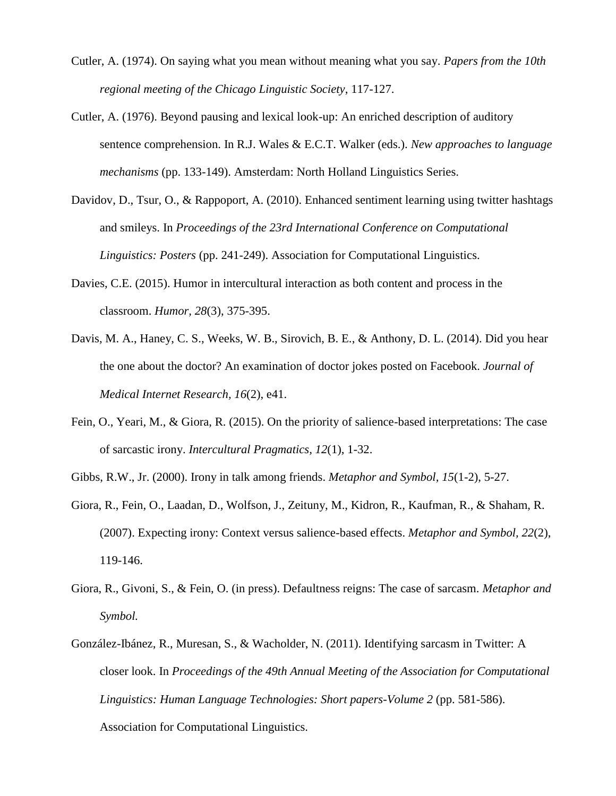- Cutler, A. (1974). On saying what you mean without meaning what you say. *Papers from the 10th regional meeting of the Chicago Linguistic Society*, 117-127.
- Cutler, A. (1976). Beyond pausing and lexical look-up: An enriched description of auditory sentence comprehension. In R.J. Wales & E.C.T. Walker (eds.). *New approaches to language mechanisms* (pp. 133-149). Amsterdam: North Holland Linguistics Series.
- Davidov, D., Tsur, O., & Rappoport, A. (2010). Enhanced sentiment learning using twitter hashtags and smileys. In *Proceedings of the 23rd International Conference on Computational Linguistics: Posters* (pp. 241-249). Association for Computational Linguistics.
- Davies, C.E. (2015). Humor in intercultural interaction as both content and process in the classroom. *Humor, 28*(3), 375-395.
- Davis, M. A., Haney, C. S., Weeks, W. B., Sirovich, B. E., & Anthony, D. L. (2014). Did you hear the one about the doctor? An examination of doctor jokes posted on Facebook. *Journal of Medical Internet Research, 16*(2), e41.
- Fein, O., Yeari, M., & Giora, R. (2015). On the priority of salience-based interpretations: The case of sarcastic irony. *Intercultural Pragmatics, 12*(1), 1-32.
- Gibbs, R.W., Jr. (2000). Irony in talk among friends. *Metaphor and Symbol, 15*(1-2), 5-27.
- Giora, R., Fein, O., Laadan, D., Wolfson, J., Zeituny, M., Kidron, R., Kaufman, R., & Shaham, R. (2007). Expecting irony: Context versus salience-based effects. *Metaphor and Symbol, 22*(2), 119-146.
- Giora, R., Givoni, S., & Fein, O. (in press). Defaultness reigns: The case of sarcasm. *Metaphor and Symbol.*
- González-Ibánez, R., Muresan, S., & Wacholder, N. (2011). Identifying sarcasm in Twitter: A closer look. In *Proceedings of the 49th Annual Meeting of the Association for Computational Linguistics: Human Language Technologies: Short papers-Volume 2* (pp. 581-586). Association for Computational Linguistics.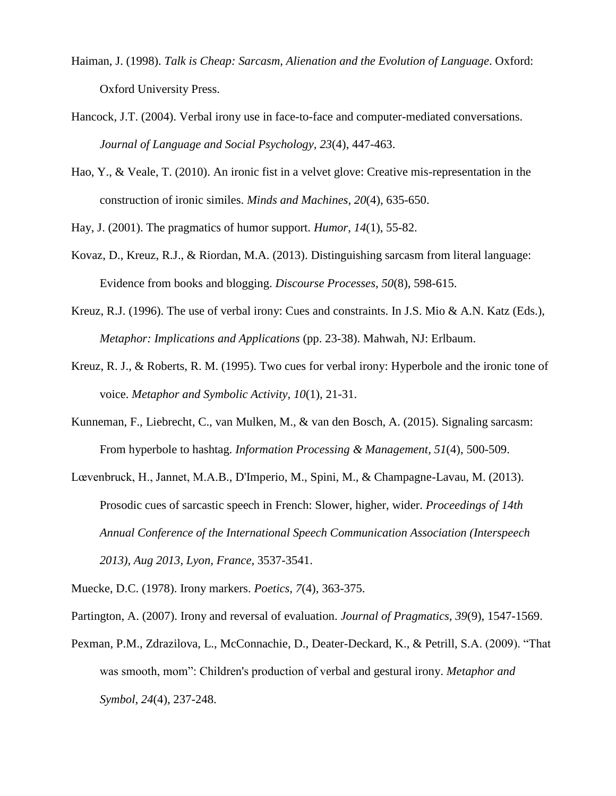- Haiman, J. (1998). *Talk is Cheap: Sarcasm, Alienation and the Evolution of Language*. Oxford: Oxford University Press.
- Hancock, J.T. (2004). Verbal irony use in face-to-face and computer-mediated conversations. *Journal of Language and Social Psychology, 23*(4), 447-463.
- Hao, Y., & Veale, T. (2010). An ironic fist in a velvet glove: Creative mis-representation in the construction of ironic similes. *Minds and Machines, 20*(4), 635-650.
- Hay, J. (2001). The pragmatics of humor support. *Humor, 14*(1), 55-82.
- Kovaz, D., Kreuz, R.J., & Riordan, M.A. (2013). Distinguishing sarcasm from literal language: Evidence from books and blogging. *Discourse Processes, 50*(8), 598-615.
- Kreuz, R.J. (1996). The use of verbal irony: Cues and constraints. In J.S. Mio & A.N. Katz (Eds.), *Metaphor: Implications and Applications* (pp. 23-38). Mahwah, NJ: Erlbaum.
- Kreuz, R. J., & Roberts, R. M. (1995). Two cues for verbal irony: Hyperbole and the ironic tone of voice. *Metaphor and Symbolic Activity, 10*(1), 21-31.
- Kunneman, F., Liebrecht, C., van Mulken, M., & van den Bosch, A. (2015). Signaling sarcasm: From hyperbole to hashtag. *Information Processing & Management, 51*(4), 500-509.
- Lœvenbruck, H., Jannet, M.A.B., D'Imperio, M., Spini, M., & Champagne-Lavau, M. (2013). Prosodic cues of sarcastic speech in French: Slower, higher, wider. *Proceedings of 14th Annual Conference of the International Speech Communication Association (Interspeech 2013), Aug 2013, Lyon, France,* 3537-3541.
- Muecke, D.C. (1978). Irony markers. *Poetics, 7*(4), 363-375.
- Partington, A. (2007). Irony and reversal of evaluation. *Journal of Pragmatics, 39*(9), 1547-1569.
- Pexman, P.M., Zdrazilova, L., McConnachie, D., Deater-Deckard, K., & Petrill, S.A. (2009). "That was smooth, mom": Children's production of verbal and gestural irony. *Metaphor and Symbol, 24*(4), 237-248.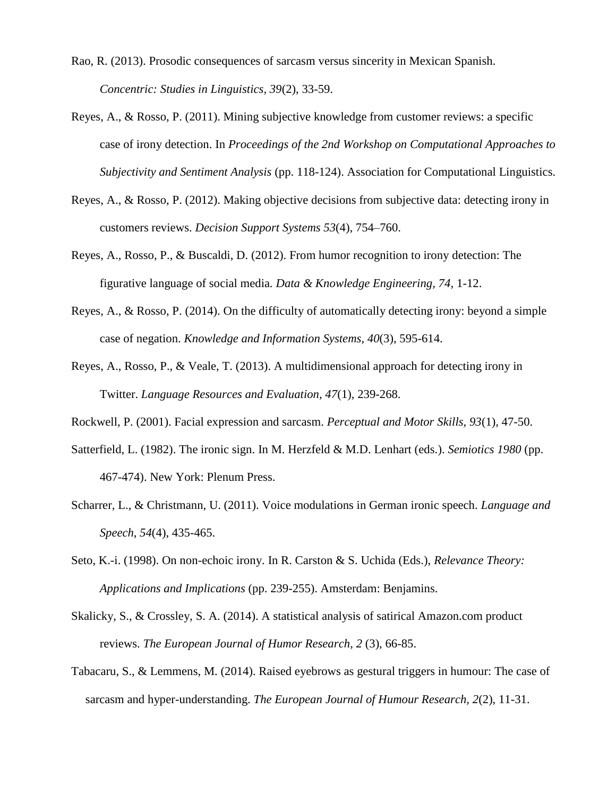- Rao, R. (2013). Prosodic consequences of sarcasm versus sincerity in Mexican Spanish. *Concentric: Studies in Linguistics, 39*(2), 33-59.
- Reyes, A., & Rosso, P. (2011). Mining subjective knowledge from customer reviews: a specific case of irony detection. In *Proceedings of the 2nd Workshop on Computational Approaches to Subjectivity and Sentiment Analysis* (pp. 118-124). Association for Computational Linguistics.
- Reyes, A., & Rosso, P. (2012). Making objective decisions from subjective data: detecting irony in customers reviews. *Decision Support Systems 53*(4), 754–760.
- Reyes, A., Rosso, P., & Buscaldi, D. (2012). From humor recognition to irony detection: The figurative language of social media*. Data & Knowledge Engineering, 74*, 1-12.
- Reyes, A., & Rosso, P. (2014). On the difficulty of automatically detecting irony: beyond a simple case of negation. *Knowledge and Information Systems*, *40*(3), 595-614.
- Reyes, A., Rosso, P., & Veale, T. (2013). A multidimensional approach for detecting irony in Twitter. *Language Resources and Evaluation, 47*(1), 239-268.
- Rockwell, P. (2001). Facial expression and sarcasm. *Perceptual and Motor Skills, 93*(1), 47-50.
- Satterfield, L. (1982). The ironic sign. In M. Herzfeld & M.D. Lenhart (eds.). *Semiotics 1980* (pp. 467-474). New York: Plenum Press.
- Scharrer, L., & Christmann, U. (2011). Voice modulations in German ironic speech. *Language and Speech*, *54*(4), 435-465.
- Seto, K.-i. (1998). On non-echoic irony. In R. Carston & S. Uchida (Eds.), *Relevance Theory: Applications and Implications* (pp. 239-255). Amsterdam: Benjamins.
- Skalicky, S., & Crossley, S. A. (2014). A statistical analysis of satirical Amazon.com product reviews. *The European Journal of Humor Research*, *2* (3), 66-85.
- Tabacaru, S., & Lemmens, M. (2014). Raised eyebrows as gestural triggers in humour: The case of sarcasm and hyper-understanding. *The European Journal of Humour Research, 2*(2), 11-31.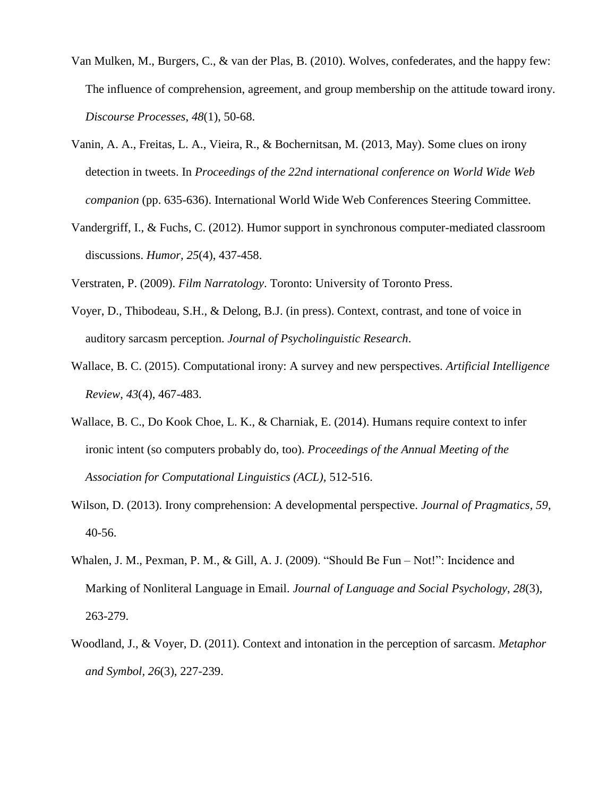- Van Mulken, M., Burgers, C., & van der Plas, B. (2010). Wolves, confederates, and the happy few: The influence of comprehension, agreement, and group membership on the attitude toward irony. *Discourse Processes*, *48*(1), 50-68.
- Vanin, A. A., Freitas, L. A., Vieira, R., & Bochernitsan, M. (2013, May). Some clues on irony detection in tweets. In *Proceedings of the 22nd international conference on World Wide Web companion* (pp. 635-636). International World Wide Web Conferences Steering Committee.
- Vandergriff, I., & Fuchs, C. (2012). Humor support in synchronous computer-mediated classroom discussions. *Humor, 25*(4), 437-458.

Verstraten, P. (2009). *Film Narratology*. Toronto: University of Toronto Press.

- Voyer, D., Thibodeau, S.H., & Delong, B.J. (in press). Context, contrast, and tone of voice in auditory sarcasm perception. *Journal of Psycholinguistic Research*.
- Wallace, B. C. (2015). Computational irony: A survey and new perspectives. *Artificial Intelligence Review*, *43*(4), 467-483.
- Wallace, B. C., Do Kook Choe, L. K., & Charniak, E. (2014). Humans require context to infer ironic intent (so computers probably do, too). *Proceedings of the Annual Meeting of the Association for Computational Linguistics (ACL),* 512-516.
- Wilson, D. (2013). Irony comprehension: A developmental perspective. *Journal of Pragmatics, 59*, 40-56.
- Whalen, J. M., Pexman, P. M., & Gill, A. J. (2009). "Should Be Fun Not!": Incidence and Marking of Nonliteral Language in Email. *Journal of Language and Social Psychology*, *28*(3), 263-279.
- Woodland, J., & Voyer, D. (2011). Context and intonation in the perception of sarcasm. *Metaphor and Symbol, 26*(3), 227-239.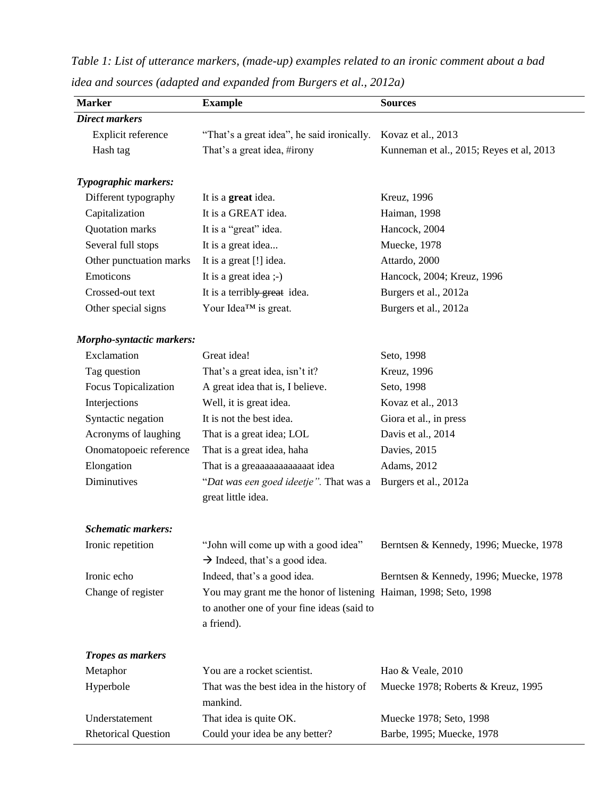| <b>Marker</b>              | <b>Example</b>                                                                                                               | <b>Sources</b>                           |
|----------------------------|------------------------------------------------------------------------------------------------------------------------------|------------------------------------------|
| <b>Direct markers</b>      |                                                                                                                              |                                          |
| Explicit reference         | "That's a great idea", he said ironically.                                                                                   | Kovaz et al., 2013                       |
| Hash tag                   | That's a great idea, #irony                                                                                                  | Kunneman et al., 2015; Reyes et al, 2013 |
| Typographic markers:       |                                                                                                                              |                                          |
| Different typography       | It is a great idea.                                                                                                          | <b>Kreuz</b> , 1996                      |
| Capitalization             | It is a GREAT idea.                                                                                                          | Haiman, 1998                             |
| Quotation marks            | It is a "great" idea.                                                                                                        | Hancock, 2004                            |
| Several full stops         | It is a great idea                                                                                                           | Muecke, 1978                             |
| Other punctuation marks    | It is a great [!] idea.                                                                                                      | Attardo, 2000                            |
| Emoticons                  | It is a great idea ;-)                                                                                                       | Hancock, 2004; Kreuz, 1996               |
| Crossed-out text           | It is a terribly great idea.                                                                                                 | Burgers et al., 2012a                    |
| Other special signs        | Your Idea <sup>™</sup> is great.                                                                                             | Burgers et al., 2012a                    |
| Morpho-syntactic markers:  |                                                                                                                              |                                          |
| Exclamation                | Great idea!                                                                                                                  | Seto, 1998                               |
| Tag question               | That's a great idea, isn't it?                                                                                               | <b>Kreuz</b> , 1996                      |
| Focus Topicalization       | A great idea that is, I believe.                                                                                             | Seto, 1998                               |
| Interjections              | Well, it is great idea.                                                                                                      | Kovaz et al., 2013                       |
| Syntactic negation         | It is not the best idea.                                                                                                     | Giora et al., in press                   |
| Acronyms of laughing       | That is a great idea; LOL                                                                                                    | Davis et al., 2014                       |
| Onomatopoeic reference     | That is a great idea, haha                                                                                                   | Davies, 2015                             |
| Elongation                 | That is a greaaaaaaaaaaaaat idea                                                                                             | Adams, 2012                              |
| Diminutives                | "Dat was een goed ideetje". That was a<br>great little idea.                                                                 | Burgers et al., 2012a                    |
| <b>Schematic markers:</b>  |                                                                                                                              |                                          |
| Ironic repetition          | "John will come up with a good idea"<br>$\rightarrow$ Indeed, that's a good idea.                                            | Berntsen & Kennedy, 1996; Muecke, 1978   |
| Ironic echo                | Indeed, that's a good idea.                                                                                                  | Berntsen & Kennedy, 1996; Muecke, 1978   |
| Change of register         | You may grant me the honor of listening Haiman, 1998; Seto, 1998<br>to another one of your fine ideas (said to<br>a friend). |                                          |
| <b>Tropes as markers</b>   |                                                                                                                              |                                          |
| Metaphor                   | You are a rocket scientist.                                                                                                  | Hao & Veale, 2010                        |
| Hyperbole                  | That was the best idea in the history of<br>mankind.                                                                         | Muecke 1978; Roberts & Kreuz, 1995       |
| Understatement             | That idea is quite OK.                                                                                                       | Muecke 1978; Seto, 1998                  |
| <b>Rhetorical Question</b> | Could your idea be any better?                                                                                               | Barbe, 1995; Muecke, 1978                |

*Table 1: List of utterance markers, (made-up) examples related to an ironic comment about a bad idea and sources (adapted and expanded from Burgers et al., 2012a)*